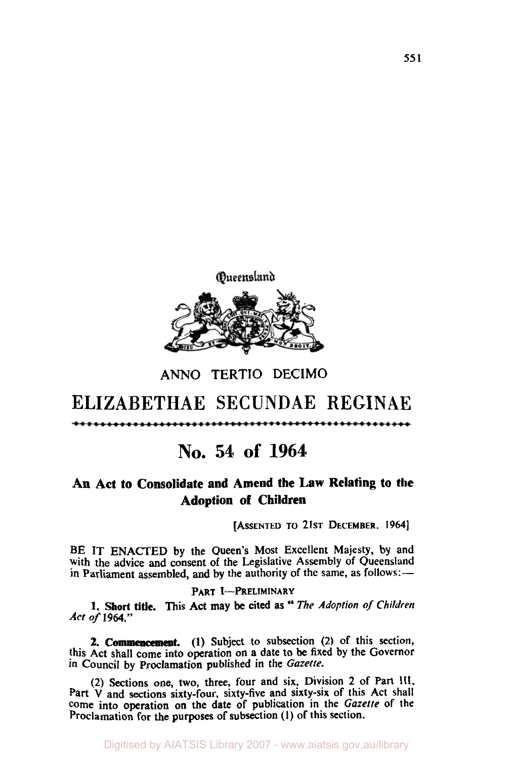

### **ANN0 TERTIO DECIMO**

# ELIZABETHAE SECUNDAE REGINAE

# **No. 54 of 1964**

## **An Act to Consolidate and Amend the Law Relating to the Adoption of Children**

[ASSENTED **TO 21ST DECEMBER,** *1964]* 

**BE IT ENACTED** by the Queen's Most Excellent Majesty, by and with the advice and consent of the Legislative Assembly of Queensland in Parliament assembled, and by the authority of the same, as follows:-

#### PART **I-PRELIMINARY**

**1. Short title. This** Act may be cited as The *Adoption of Children Act of* **1964."** 

**2. Commencement. (1)** Subject to subsection **(2)** of this section, this Act shall come into operation on a date to be fixed by the Governor **In** Council by Proclamation published in the *Gazette.* 

**(2)** Sections one, two, **three,** four and six, Division **2** of Part **111,**  Part **V** and sections sixty-four, sixty-five and sixty-six of this Act shall come into operation on the date of publication in the *Gazette* of the Proclamation for **the** purposes of subsection (I) of this section.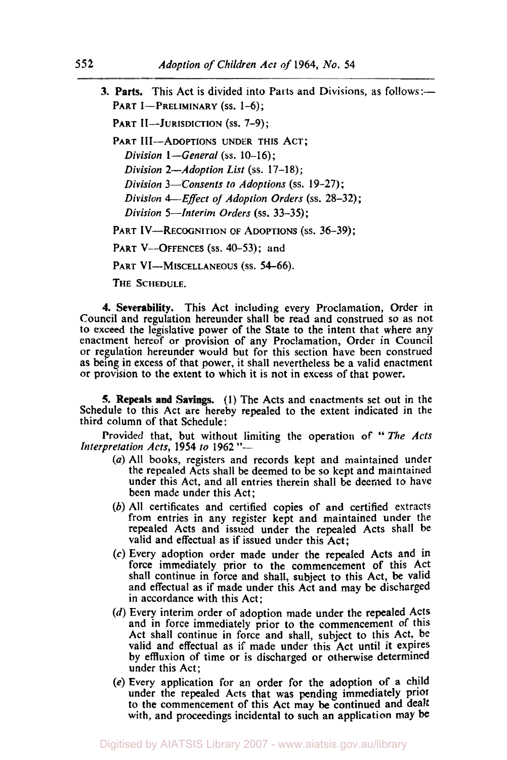**3. Parts.** This Act is divided into Parts and Divisions, as follows:- PART I-PRELIMINARY (ss. 1-6); PART II-JURISDICTION (ss. 7-9); PART III--ADOPTIONS UNDER THIS ACT; *Division 1-General* (ss. 10-16); *Division 2-Adoption List (ss.* **17-18);**  *Division 3-Consents to Adoptions (ss.* **19-27)** ; *Division 4-Effect of Adoption Orders* **(ss. 28-32);**  *Division 5-Interim Orders* **(ss.** *33-35)* ; PART IV-RECOGNITION *OF* ADOPTIONS **(ss.** *36-39)* ; PART V---OFFENCES (ss. 40-53); and PART VI-MISCELLANEOUS (ss. 54-66).

THE SCHEDULE.

**4. Severability.** This Act including every Proclamation, Order in Council and regulation hereunder shall be read and construed so as not to exceed the legislative power of the State to the intent that where any enactment hereof or provision of any Proclamation, Order in Council **or** regulation hereunder would but for this section have been construed as being in excess of that power, it shall nevertheless be a valid enactment or provision to the extent to which it is not in excess of that power.

**5. Repeals and Savings. (1)** The Acts and enactments set out in the Schedule to this Act are hereby repealed to the extent indicated in the third column of that Schedule:

third column of that Schedule:<br>
Provided that, but without limiting the operation of "The Acts<br> *Interpretation Acts*, 1954 *to* 1962 "-

- *(a)* All hooks, registers and records kept and maintained under the repealed Acts shall be deemed to be so kept and maintained under this Act, and all entries therein shall be deemed to have been made under this Act;
- *(b)* All certificates and certified copies of and certified extracts from entries in any register kept and maintained under the repealed Acts and issued under the repealed Acts shall be valid and effectual as if issued under this Act;
- *(c)* Every adoption order made under the repealed Acts and in force immediately prior to the commencement of this Act shall continue in force and shall, subject to this Act, be valid and effectual as if made under this Act and may be discharged in accordance with this Act;
- (d) Every interim order of adoption made under the repealed Acts and in force immediately prior to the commencement of this Act shall continue in force and shall, subject to this Act, be valid and effectual as if made under this Act until it expires by effluxion of time or is discharged or otherwise determined under this Act;
- *(e)* Every application for an order for the adoption of a child under the repealed Acts that was pending immediately **prior**  to the commencement of this Act may be continued and dealt with, and proceedings incidental to such an application may be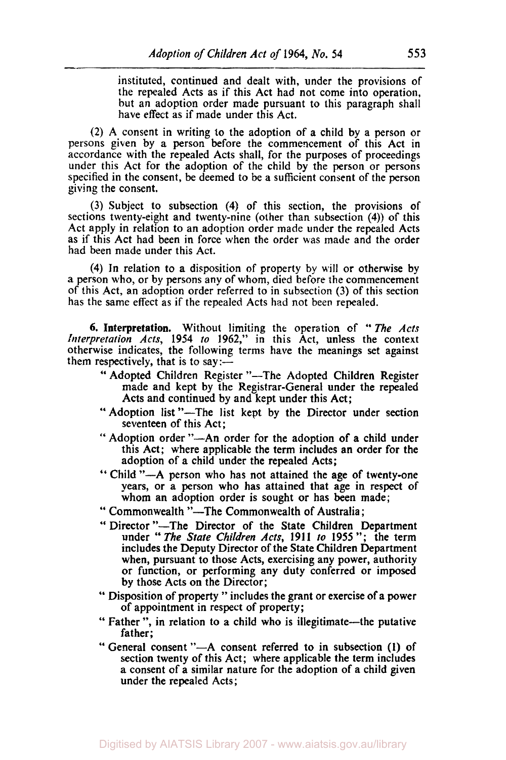-.

instituted, continued and dealt with, under the provisions of the repealed Acts as if this Act had not come into operation, but an adoption order made pursuant to this paragraph shall have effect as if made under this Act.

(2) A consent in writing to the adoption of a child by a person or persons given by **a** person before the commencement of this Act in accordance with the repealed Acts shall, for the purposes of proceedings under this Act for the adoption of the child by the person or persons specified in the consent, be deemed to be a sufficient consent of the person giving the consent.

(3) Subject to subsection **(4)** of this section, the provisions **of**  sections twenty-eight and twenty-nine (other than subsection **(4))** of this Act apply in relation to an adoption order made under the repealed Acts as if this Act had been in force when the order was made and the order had been made under this Act.

**(4)** In relation to a disposition of property by will or otherwise by a person who, or by persons any of whom, died before the commencement **of** this Act, an adoption order referred to in subsection (3) of this section has the same effect as if the repealed Acts had not been repealed.

**6. Interpretation.** Without limiting the operation of " *The Acts Interpretation Acts,* **1954** *to* **1962,"** in this Act, unless the context otherwise indicates, the following terms have the meanings **set** against them respectively, that is to say:-

- " Adopted Children Register "--The Adopted Children Register made and kept by the Registrar-General under the repealed Acts and continued by and kept under this Act;
- " Adoption list "-The list kept by the Director under section seventeen of this Act;
- " Adoption order "-An order for the adoption of a child under this Act; where applicable the term includes an order for the adoption of a child under the repealed Acts;
- " Child "-A person who has not attained the age of twenty-one years, or a person who has attained that age in respect **of**  whom an adoption order is sought or has been made;
- " Commonwealth "-The Commonwealth of Australia;
- " Director "-The Director of the State Children Department under " *The State Children Acts,* **191 1** *to* **<sup>1955</sup>**"; the term includes the Deputy Director of the State Children Department when, pursuant to those Acts, exercising any power, authority or function, or performing any duty conferred or imposed by those Acts on the Director;
- " Disposition of property " includes the grant **or** exercise of a power of appointment in respect of property;
- " Father ", in relation to a child who is illegitimate-the putative father;
- " General consent "-A consent referred to in subsection **(1)** of section twenty of this Act; where applicable the term includes a consent of a similar nature for the adoption of a child given under the repealed Acts;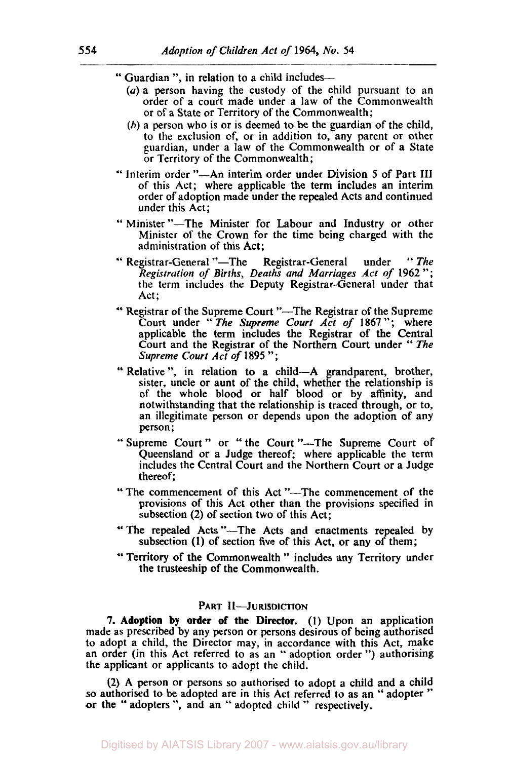- " Guardian ", in relation to a child includes-
	- *(a)* a person having the custody of the child pursuant to an order of a court made under a law of the Commonwealth or of a State or Territory of the Commonwealth;
	- (h) a person who is or is deemed to be the guardian of the child, to the exclusion of, or in addition to, any parent or other guardian, under a law of the Commonwealth or of a State or Territory of the Commonwealth;
- '' Interim order "-An interim order under Division *5* of Part III of this Act; where applicable the term includes an interim order of adoption made under the repealed Acts and continued under this Act;
- " Minister "-The Minister for Labour and Industry or other Minister of the Crown for the time being charged with the administration of this Act;
- " Registrar-General "-The Registrar-General under "The *Registration of Births, Deaths and Marriages Act of* **1962";**  the term includes the Deputy Registrar-General under that Act;
- " Registrar of the Supreme Court "-The Registrar of the Supreme Court under " *The Supreme Court Act of* **1867** "; where applicable the term includes the Registrar of the Central Court and the Registrar of the Northern Court under " *The Supreme Court Act of* **1895** ";
- " Relative ", in relation to a child-A grandparent, brother, sister, uncle or aunt of the child, whether the relationship is of the whole blood or half blood or by affinity, and notwithstanding that the relationship is traced through, or to, an illegitimate person or depends upon the adoption of any person;
- " Supreme Court " or " the Court "-The Supreme Court of Queensland or a Judge thereof; where applicable the term includes the Central Court and the Northern Court or a Judge thereof;
- " The commencement of this Act "-The commencement of the provisions of this Act other than the provisions specified in subsection **(2)** of section two of this Act;
- "The repealed Acts "-The Acts and enactments repealed by subsection **(1)** of section five of this Act, or any of them;
- '' Territory of the Commonwealth " includes any Territory under the trusteeship of the Commonwealth.

#### **PART II-JURISDICTION**

**7. Adoption by order of the Director. (1)** Upon an application made as prescribed by any person or persons desirous of being authorised to adopt a child, the Director may, in accordance with this Act, make an order (in this Act referred to as an '' adoption order ") authorising the applicant or applicants **to** adopt the child.

**(2)** A person or persons so authorised to adopt a child and a child so authorised to be adopted are in this Act referred to as an " adopter '' **or** the '' adopters ", and an " adopted child " respectively.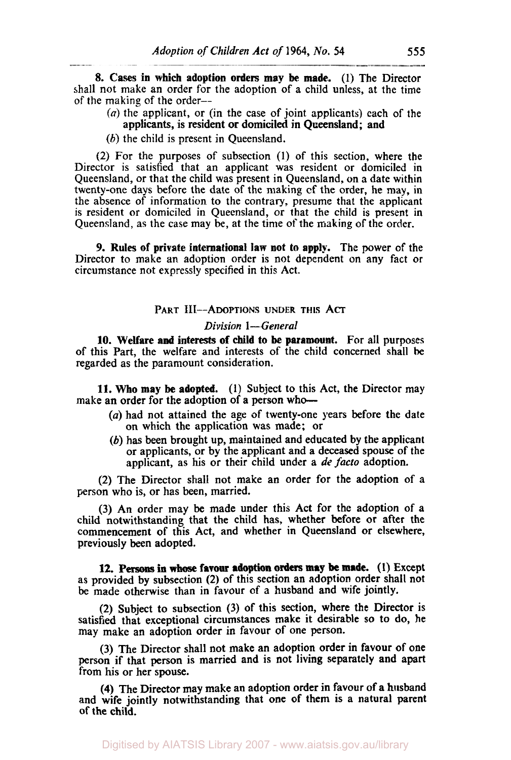**8. Cases in which adoption orders may be made. (1)** The Director shall not make an order for the adoption of a child unless, at the time of the making of the order--

- (a) the applicant, or (in the case of joint applicants) each of the applicants, is resident or domiciled in Queensland; and
- (b) the child is present in Oueensland.

(2) For the purposes of subsection **(1)** of this section, where the Director is satisfied that an applicant was resident or domiciled in Queensland, or that the child was present in Queensland, on a date within twenty-one days before the date of the making of the order, he **may,** in the absence of information to the contrary, presume that the applicant is resident or domiciled in Queensland, or that the child is present in Queensland, as the case may be, at the time of the making of the order.

**9. Rules of private international law not to apply.** The power **of** the Director to make an adoption order is not dependent on any fact or circumstance not expressly specified in this Act.

#### **PART III--ADOPTIONS UNDER THIS ACT**

#### *Division* **1-** *General*

**10. Welfare and interests of child to be paramount.** For all purposes of this Part, the welfare and interests of the child concerned shall **he**  regarded as the paramount consideration.

**11. Who may be adopted. (1)** Subject to this Act, the Director may make an order for the adoption of a person who-

- *(a)* had not attained the age of twenty-one years before the date on which the application was made; or
- (b) has been brought up, maintained and educated by the applicant or applicants, or by the applicant and a deceased spouse of the applicant, as his or their child under a *de facto* adoption.

(2) The Director shall not make an order for the adoption of a person who is, or has been, married.

(3) An order may be made under this Act for the adoption of a child notwithstanding that the child has, whether before or after the commencement of this Act, and whether in Queensland or elsewhere, previously **been** adopted.

**12. Persons in whose favour adoption orders may be** made. **(1)** Except as provided by subsection **(2)** of this section an adoption order shall not be made otherwise than in favour of **a** husband and wife jointly.

**(2)** Subject to subsection (3) of this section, where the Director is satisfied that exceptional circumstances make it desirable so to do, he may make an adoption order in favour of one person.

(3) The Director shall not make an adoption order in favour of one person if that **person** is married and is not living separately and apart from his or her spouse.

**(4)** The Director may make an adoption order in favour of a husband and wife jointly notwithstanding that one of them is a natural parent of the child.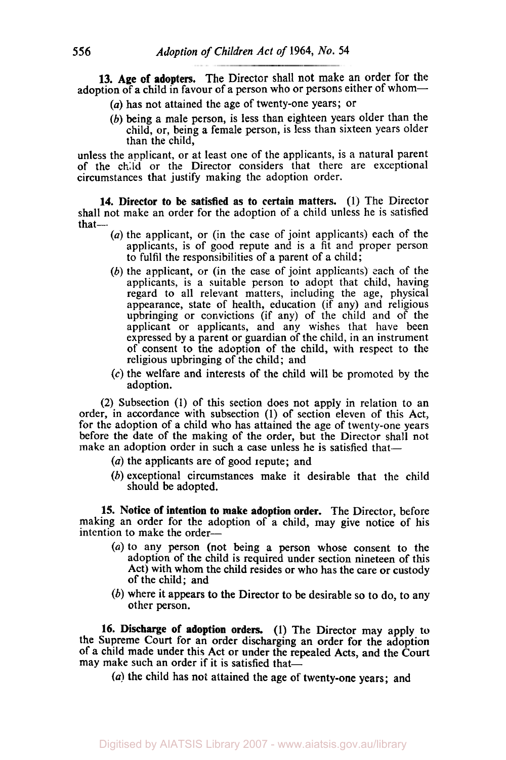**13. Age of adopters.** The Director shall not make an order for the adoption of a child in favour of a person who or persons either of whom-

- *(a)* has not attained the age of twenty-one years; or
- (b) being a male person, is less than eighteen years older than the child, or, being a female person, is less than sixteen years older than the child,

unless the applicant, or at least one of the applicants, is a natural parent of the child or the Director considers that there are exceptional circumstances that justify making the adoption order.

**14. Director to be satisfied as to certain matters.** (I) The Director shall not make an order for the adoption of a child unless he is satisfied  $that-$ 

- $(a)$  the applicant, or (in the case of joint applicants) each of the applicants, is of good repute and is a fit and proper person to fulfil the responsibilities of a parent of a child;
- (b) the applicant, or (in the case of joint applicants) each of the applicants, is a suitable person to adopt that child, having regard to all relevant matters, including the age, physical appearance, state of health, education (if any) and religious upbringing or convictions (if any) of the child and of the applicant or applicants, and any wishes that have been expressed by a parent or guardian of the child, in an instrument of consent to the adoption of the child, with respect to the religious upbringing of the child; and
- *(c)* the welfare and interests of the child will be promoted by the adoption.

(2) Subsection (1) of this section does not apply in relation to an order, in accordance with subsection (1) of section eleven of this Act, for the adoption of a child who has attained the age of twenty-one years before the date of the making of the order, but the Director shall not make an adoption order in such a case unless he is satisfied that-

- (a) the applicants are of good repute; and
- (b) exceptional circumstances make it desirable that the child should be adopted.

**15. Notice of intention to make adoption order.** The Director, before making an order for the adoption of a child, may give notice of his intention to make the order-

- **(a)** to any person (not being a person whose consent to the adoption of the child is required under section nineteen of this Act) with whom the child resides or who has the care or custody of the child; and
- (b) where it appears to the Director to be desirable so to do, to any other person.

**16. Discharge of adoption orders. (1)** The Director may apply **to**  the Supreme Court for an order discharging an order for the adoption of a child made under this Act or under the repealed Acts, and the Court may make such an order if it is satisfied that- $\hat{-}$ 

*(a)* the child has not attained the age of twenty-one years; and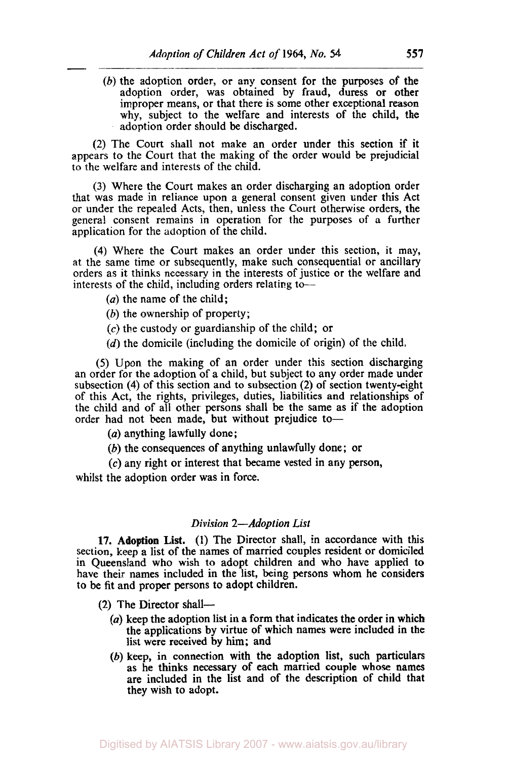Adoption (b) the adoption order, or any consent for the purposes **of** the adoption order, was obtained by fraud, duress or other improper means, or that there is some other exceptional reason why, subject to the welfare and interests of the child, the adoption order should be discharged.

(2) The **Court** shall not make an order under this section if it appears to the Court that the making of the order would be prejudicial to the welfare and interests of the child.

(3) Where the Court makes an order discharging an adoption order that was made in reliance upon a general consent given under this Act or under the repealed Acts, then, unless the Court otherwise orders, the general consent remains in operation for the purposes of a further application for the adoption of the child.

**(4)** Where the Court makes an order under this section, it may, at the same time or subsequently, make such consequential or ancillary orders as it thinks necessary in the interests of justice or the welfare and interests of the child, including orders relating to-

- *(a)* the name of the child;
- (b) the ownership of property;
- *(c)* the custody or guardianship of the child; or
- (d) the domicile (including the domicile of origin) of the child.

*(5)* Upon the making of an order under this section discharging an order for the adoption of a child, but subject to any order made under subsection **(4)** of this section and to subsection (2) of section twenty-eight of this Act, the rights, privileges, duties, liabilities and relationships of the child and of all other persons shall be the same as if the adoption order had not been made, but without prejudice to-

*(a)* anything lawfully done;

(b) the consequences of anything unlawfully done; or

*(c)* any right or interest that became vested in any **person,**  whilst the adoption order was in force.

#### *Division 2-Adoption List*

**17.** Adoption List. (1) The Director shall, in accordance with this section, keep a list of the names **of** married couples resident or domiciled in Queensland who wish to adopt children and who have applied to have their names included in the list, being persons whom he considers to be fit and proper persons to adopt children.

- **(2)** The Director shall-
	- (a) keep the adoption list in a form that indicates the order in which the applications by virtue of which names were included in the list were received by him; and
	- (b) keep, in connection with the adoption list, such particulars as he thinks necessary of each married couple whose names are included in the list and of the description of child that they wish to adopt.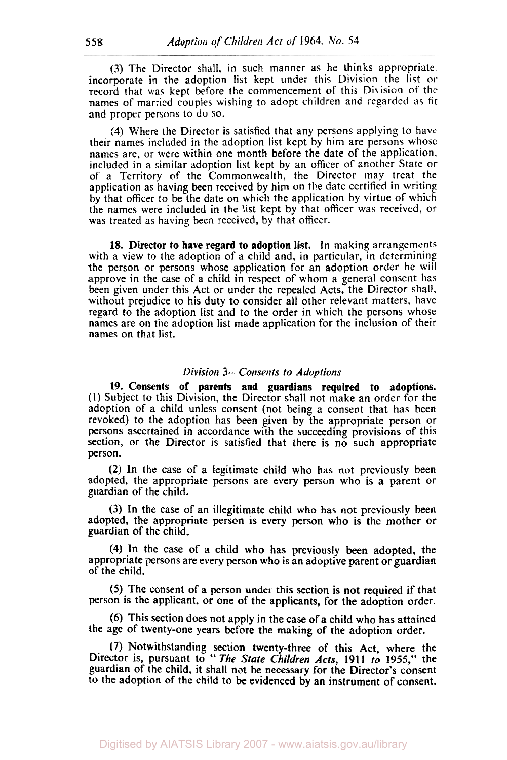(3) The Director shall, in such manner as he thinks appropriate. incorporate in the adoption list kept under this Division the list or record that was kept before the commencement of this Division of the names of married couples wishing to adopt children and regarded as fit and proper persons to do so.

**(4)** Where the Director is satisfied that any persons applying to have their names included in the adoption list kept by him are persons whose names are, or were within one month before the date of the application. included in a similar adoption list kept by an officer of another State or of a Territory of the Commonwealth, the Director may treat the application as having been received by him on the date certified in writing by that officer to be the date on which the application by virtue of which the names were included in the list kept by that officer was received, or was treated as having been received, by that officer.

18. Director to have regard to adoption list. In making arrangements with a view to the adoption of a child and, in particular, in determining the person or persons whose application for an adoption order he will approve in the case of a child in respect of whom a general consent has been given under this Act or under the repealed Acts, the Director shall. without prejudice to his duty to consider all other relevant matters, have regard to the adoption list and to the order in which the persons whose names are **on the** adoption list made application for the inclusion of their names on that list.

#### *Division 3-Consents to Adoptions*

*19.* Consents of parents and guardians required to adoptions. (I) Subject to this Division, the Director shall not make an order for the adoption of a child unless consent (not being a consent that has been revoked) to the adoption has been given by the appropriate person or persons ascertained in accordance with the succeeding provisions of this section, or the Director is satisfied that there is no such appropriate person.

(2) In the case of a legitimate child who has not previously been adopted, the appropriate persons are every person who is a parent or guardian of the child.

**(3)** In the case of an illegitimate child who has not previously been adopted, the appropriate person is every person who is the mother or guardian of the child.

**(4)** In the case of a child who has previously been adopted, the appropriate persons are every person **who** is an adoptive parent or guardian of the child.

(5) The consent of a person under this section is not required if that person is the applicant, or one of the applicants, for the adoption order.

(6) This section does not apply in the case of a child who has attained the age of twenty-one years before the making of the adoption order.

**(7)** Notwithstanding section twenty-three of this Act, where the Director is, pursuant to '' The *State Children Acts,* **1911** *to* **1955,"** the guardian of the child, it shall not be necessary for the Director's consent to the adoption of the child **to** be evidenced **by** an instrument of consent.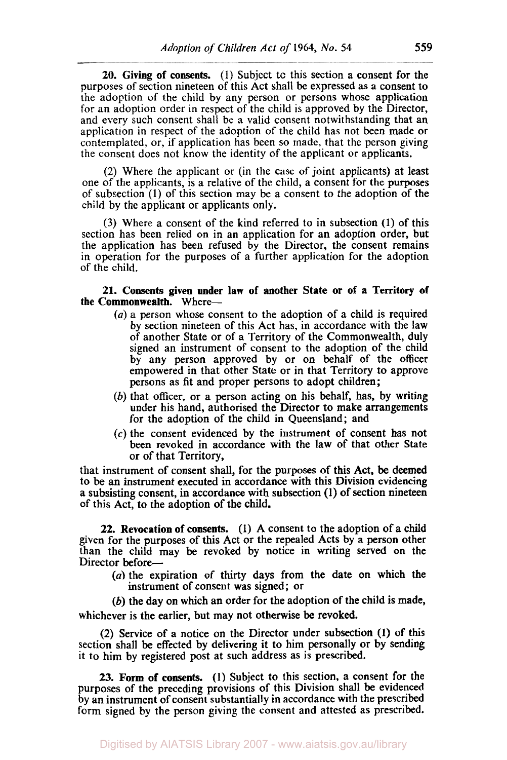**20.** Giving of **consents.** (1) Subject to this section a consent for the purposes of section nineteen of this Act shall be expressed **as** a consent to the adoption of the child by any person or persons whose application for an adoption order in respect of the child is approved by the Director, and every such consent shall be a valid consent notwithstanding that an application in respect *of* the adoption of the child has not been made or contemplated, or, if application has been so made, that the person giving the consent does not know the identity of the applicant or applicants.

(2) Where the applicant or (in the case of joint applicants) at least one of the applicants, is a relative of the child, a consent for the purposes of subsection (1) of this section may be a consent to the adoption of the child by the applicant or applicants only.

(3) Where a consent of the kind referred to in subsection **(1)** of this section has been relied on in an application for an adoption order, but the application has been refused by the Director, the consent remains in operation for the purposes of a further application for the adoption of the child.

#### **21.** Consents given under law of another State or of a Territory of the Commonwealth. Where-

- *(a)* a person whose consent to the adoption of a child is required by section nineteen of this Act has, in accordance with the law of another State or of a Territory of the Commonwealth, duly signed an instrument of consent to the adoption of the child by any person approved by or on behalf of the officer empowered in that other State or in that Territory to approve persons as fit and proper persons to adopt children;
- (b) that officer, or a person acting on his behalf, has, by writing under his hand, authorised the Director to make arrangements for the adoption of the child in Queensland; and
- *(c)* the consent evidenced by the instrument of consent has not been revoked in accordance with the law of that other State or of that Territory,

that instrument of consent shall, for the purposes of this Act, be deemed to be an instrument executed in accordance with this Division evidencing a subsisting consent, in accordance with subsection **(1)** of section nineteen of this Act, to the adoption of the child.

**22.** Revocation of consents. (1) A consent to the adoption of a child given for the purposes of this Act or the repealed Acts by a person other than the child may be revoked by notice in writing served on the Director before-

 $(a)$  the expiration of thirty days from the date on which the instrument of consent was signed; or

(b) the day on which an order for the adoption of the child is made, whichever is the earlier, but may not otherwise be revoked.

(2) Service of a notice on the Director under subsection **(1)** of this section shall be effected by delivering it to him personally or by sending it to him by registered post at such address as is prescribed.

**23.** Form of consents. (1) Subject to this section, a consent for the purposes of the preceding provisions of this Division shall be evidenced by an instrument of consent substantially in accordance with the prescribed form signed by the person giving the consent and attested as prescribed.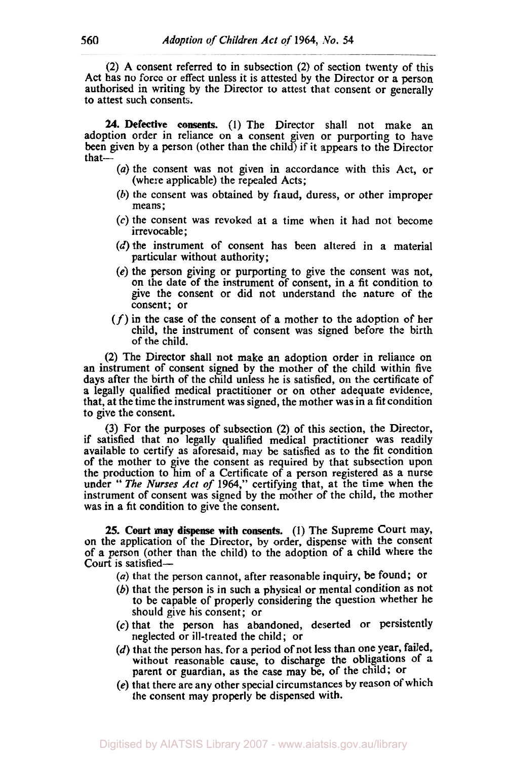(2) A consent referred to in subsection (2) of section twenty of this **Act** has no force or effect unless it is attested by the Director or a person authorised in writing by the Director to attest that consent or generally to attest such consents.

**24.** Defective **consents.** (1) The Director shall not make an adoption order in reliance on a consent given or purporting to have been given by a person (other than the child) if it appears to the Director that-

- *(a)* the consent was not given in accordance with this Act, or (where applicable) the repealed Acts;
- (b) the consent was obtained by fraud, duress, or other improper means;
- **(c)** the consent was revoked at a time when it had not become irrevocable ;
- (d) the instrument of consent has been altered in a material particular without authority;
- **(e)** the person giving or purporting to give the consent was not, on the date of the instrument of consent, in *a* fit condition to give the consent or did not understand the nature of the consent; or
- *(f)* in the case of the consent of a mother to the adoption of her child, the instrument of consent was signed before the birth of the child.

(2) The Director shall not make an adoption order in reliance on an instrument of consent signed by the mother of the child within five days after the birth of the child unless he is satisfied, on the certificate of a legally qualified medical practitioner or on other adequate evidence, that, at the time the instrument was signed, the mother was in a fit condition to give the consent.

(3) For the purposes of subsection **(2)** of this section, the Director, if satisfied that no legally qualified medical practitioner was readily available to certify as aforesaid, may be satisfied as to the fit condition of the mother to give the consent as required by that subsection upon the production to him of a Certificate of a person registered as a nurse under '' The Nurses *Act of* **1964,"** certifying that, at the time when the instrument of consent was signed by the mother of the child, the mother was in a fit condition to give the consent.

**25. Court ray** dispense with **consents. (1)** The Supreme Court may, on the application of the Director, by order, dispense with the consent of **a** person (other than the child) to the adoption of a child where the Court is satisfied-

*(a)* that the person cannot, after reasonable inquiry, **be** found; or

- *(b)* that the person is in such a physical or mental condition as not to be capable of properly considering the question whether he should give his consent; or
- *(c)* that the person has abandoned, deserted or persistently
- neglected or ill-treated the child; or  $(d)$  that the person has, for a period of not less than one year, failed, without reasonable cause, to discharge the obligations of a parent or guardian, as the case may be, of the child; or
- **(e)** that there are any other special circumstances by reason of which the consent may properly be dispensed with.